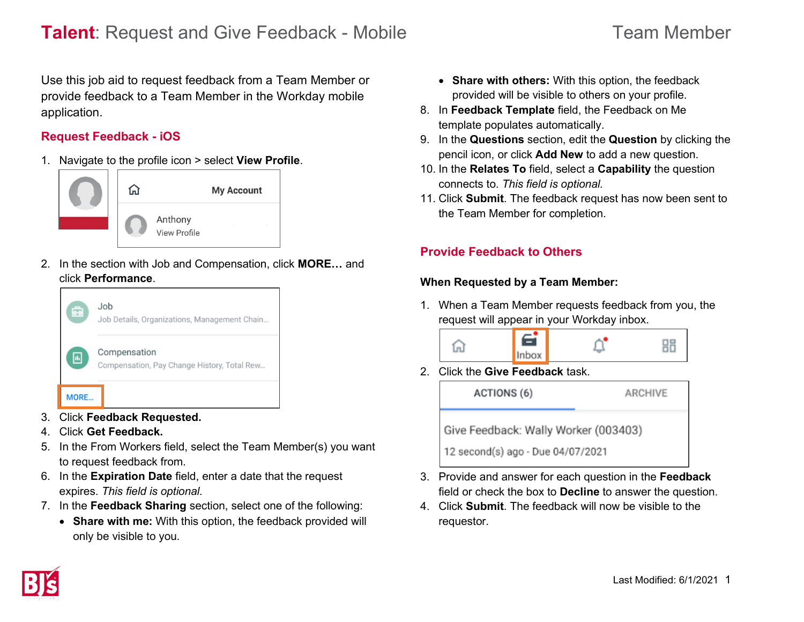Use this job aid to request feedback from a Team Member or provide feedback to a Team Member in the Workday mobile application.

## **Request Feedback - iOS**

1. Navigate to the profile icon > select **View Profile**.



2. In the section with Job and Compensation, click **MORE…** and click **Performance**.



- 3. Click **Feedback Requested.**
- 4. Click **Get Feedback.**
- 5. In the From Workers field, select the Team Member(s) you want to request feedback from.
- 6. In the **Expiration Date** field, enter a date that the request expires. *This field is optional.*
- 7. In the **Feedback Sharing** section, select one of the following:
	- **Share with me:** With this option, the feedback provided will only be visible to you.
- **Share with others:** With this option, the feedback provided will be visible to others on your profile.
- 8. In **Feedback Template** field, the Feedback on Me template populates automatically.
- 9. In the **Questions** section, edit the **Question** by clicking the pencil icon, or click **Add New** to add a new question.
- 10. In the **Relates To** field, select a **Capability** the question connects to. *This field is optional.*
- 11. Click **Submit**. The feedback request has now been sent to the Team Member for completion.

# **Provide Feedback to Others**

## **When Requested by a Team Member:**

1. When a Team Member requests feedback from you, the request will appear in your Workday inbox.



2. Click the **Give Feedback** task.



- 3. Provide and answer for each question in the **Feedback** field or check the box to **Decline** to answer the question.
- 4. Click **Submit**. The feedback will now be visible to the requestor.

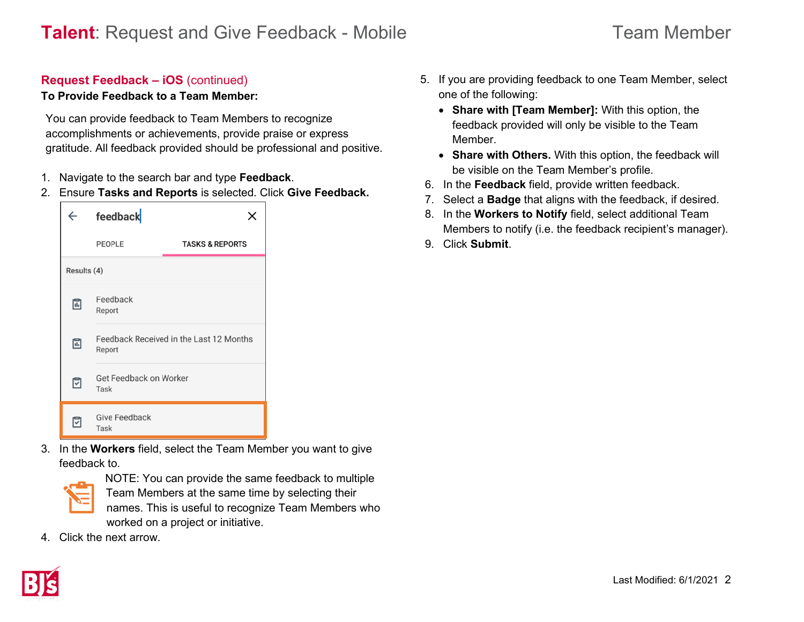#### **Request Feedback – iOS** (continued)

#### **To Provide Feedback to a Team Member:**

You can provide feedback to Team Members to recognize accomplishments or achievements, provide praise or express gratitude. All feedback provided should be professional and positive.

- 1. Navigate to the search bar and type **Feedback**.
- 2. Ensure **Tasks and Reports** is selected. Click **Give Feedback.**

| $\leftarrow$ | feedback                                          |                            |  |  |  |
|--------------|---------------------------------------------------|----------------------------|--|--|--|
|              | PEOPLE                                            | <b>TASKS &amp; REPORTS</b> |  |  |  |
| Results (4)  |                                                   |                            |  |  |  |
| ⊡            | Feedback<br>Report                                |                            |  |  |  |
| ⊞            | Feedback Received in the Last 12 Months<br>Report |                            |  |  |  |
| ⊡            | Get Feedback on Worker<br>Task                    |                            |  |  |  |
| ঢ়           | <b>Give Feedback</b><br>Task                      |                            |  |  |  |

3. In the **Workers** field, select the Team Member you want to give feedback to.



NOTE: You can provide the same feedback to multiple Team Members at the same time by selecting their names. This is useful to recognize Team Members who worked on a project or initiative.

4. Click the next arrow.

- 5. If you are providing feedback to one Team Member, select one of the following:
	- **Share with [Team Member]:** With this option, the feedback provided will only be visible to the Team Member.
	- **Share with Others.** With this option, the feedback will be visible on the Team Member's profile.
- 6. In the **Feedback** field, provide written feedback.
- 7. Select a **Badge** that aligns with the feedback, if desired.
- 8. In the **Workers to Notify** field, select additional Team Members to notify (i.e. the feedback recipient's manager).
- 9. Click **Submit**.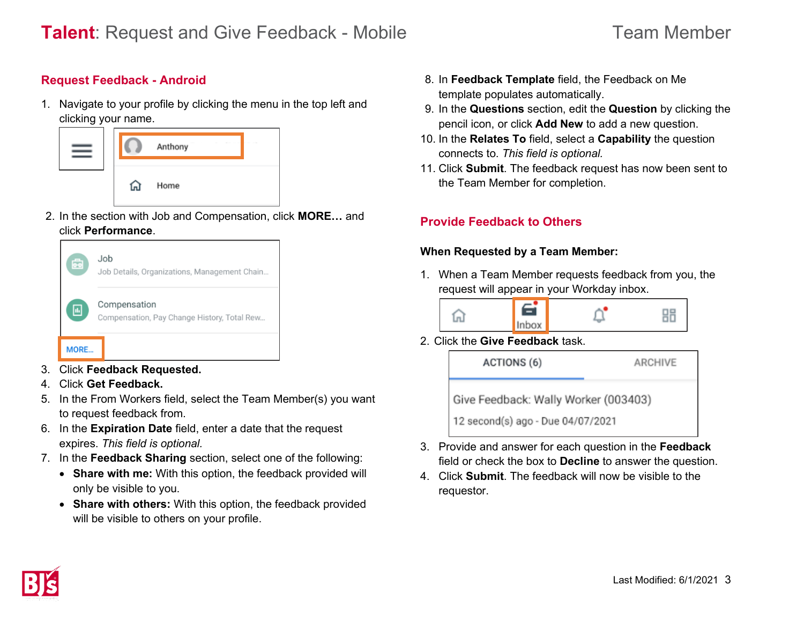## **Request Feedback - Android**

1. Navigate to your profile by clicking the menu in the top left and clicking your name.

|  | Anthony |
|--|---------|
|  | Home    |

2. In the section with Job and Compensation, click **MORE…** and click **Performance**.



- 3. Click **Feedback Requested.**
- 4. Click **Get Feedback.**
- 5. In the From Workers field, select the Team Member(s) you want to request feedback from.
- 6. In the **Expiration Date** field, enter a date that the request expires. *This field is optional.*
- 7. In the **Feedback Sharing** section, select one of the following:
	- **Share with me:** With this option, the feedback provided will only be visible to you.
	- **Share with others:** With this option, the feedback provided will be visible to others on your profile.
- 8. In **Feedback Template** field, the Feedback on Me template populates automatically.
- 9. In the **Questions** section, edit the **Question** by clicking the pencil icon, or click **Add New** to add a new question.
- 10. In the **Relates To** field, select a **Capability** the question connects to. *This field is optional.*
- 11. Click **Submit**. The feedback request has now been sent to the Team Member for completion.

# **Provide Feedback to Others**

#### **When Requested by a Team Member:**

1. When a Team Member requests feedback from you, the request will appear in your Workday inbox.

$$
\widehat{\mathbf{m}} \qquad \qquad \widehat{\mathbf{H}} \qquad \qquad \widehat{\mathbf{u}}^{\bullet} \qquad \qquad \mathbf{H}^{\bullet}
$$

2. Click the **Give Feedback** task.

| ACTIONS (6)                          | ARCHIVE |  |  |  |
|--------------------------------------|---------|--|--|--|
| Give Feedback: Wally Worker (003403) |         |  |  |  |
| 12 second(s) ago - Due 04/07/2021    |         |  |  |  |

- 3. Provide and answer for each question in the **Feedback** field or check the box to **Decline** to answer the question.
- 4. Click **Submit**. The feedback will now be visible to the requestor.